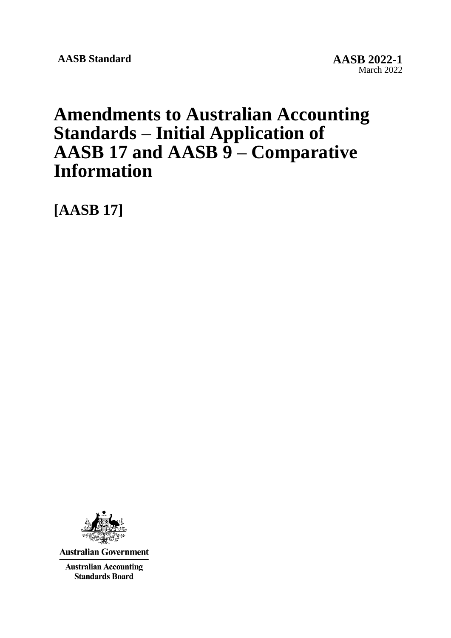**AASB Standard AASB 2022-1**

# **Amendments to Australian Accounting Standards – Initial Application of AASB 17 and AASB 9 – Comparative Information**

**[AASB 17]**



**Australian Government** 

**Australian Accounting Standards Board**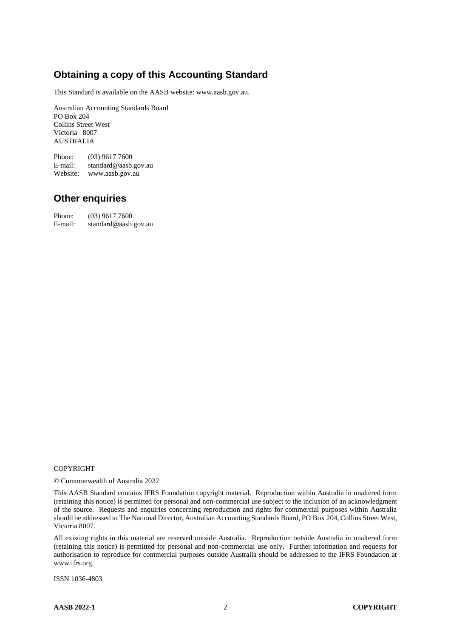# **Obtaining a copy of this Accounting Standard**

This Standard is available on the AASB website: www.aasb.gov.au.

Australian Accounting Standards Board PO Box 204 Collins Street West Victoria 8007 AUSTRALIA

Phone: (03) 9617 7600 E-mail: standard@aasb.gov.au Website: www.aasb.gov.au

#### **Other enquiries**

Phone: (03) 9617 7600 E-mail: standard@aasb.gov.au

#### COPYRIGHT

© Commonwealth of Australia 2022

This AASB Standard contains IFRS Foundation copyright material. Reproduction within Australia in unaltered form (retaining this notice) is permitted for personal and non-commercial use subject to the inclusion of an acknowledgment of the source. Requests and enquiries concerning reproduction and rights for commercial purposes within Australia should be addressed to The National Director, Australian Accounting Standards Board, PO Box 204, Collins Street West, Victoria 8007.

All existing rights in this material are reserved outside Australia. Reproduction outside Australia in unaltered form (retaining this notice) is permitted for personal and non-commercial use only. Further information and requests for authorisation to reproduce for commercial purposes outside Australia should be addressed to the IFRS Foundation at www.ifrs.org.

ISSN 1036-4803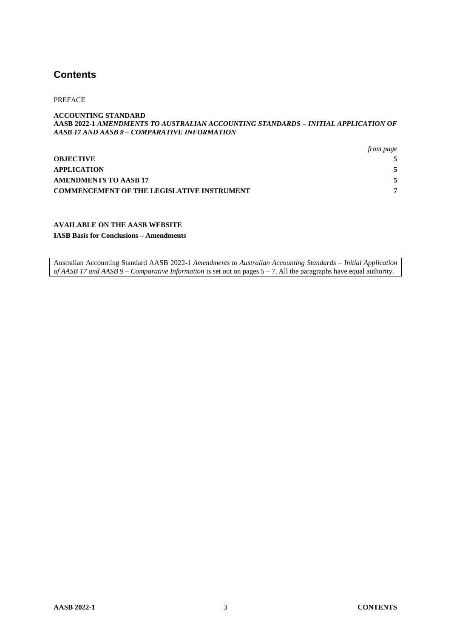#### **Contents**

PREFACE

#### **ACCOUNTING STANDARD AASB 2022-1** *AMENDMENTS TO AUSTRALIAN ACCOUNTING STANDARDS – INITIAL APPLICATION OF AASB 17 AND AASB 9 – COMPARATIVE INFORMATION*

|                                                   | from page |
|---------------------------------------------------|-----------|
| <b>OBJECTIVE</b>                                  |           |
| APPLICATION                                       | 5         |
| AMENDMENTS TO AASB 17                             | 5         |
| <b>COMMENCEMENT OF THE LEGISLATIVE INSTRUMENT</b> |           |

#### **AVAILABLE ON THE AASB WEBSITE**

**IASB Basis for Conclusions – Amendments**

Australian Accounting Standard AASB 2022-1 *Amendments to Australian Accounting Standards – Initial Application of AASB 17 and AASB 9 – Comparative Information* is set out on pages 5 – 7. All the paragraphs have equal authority.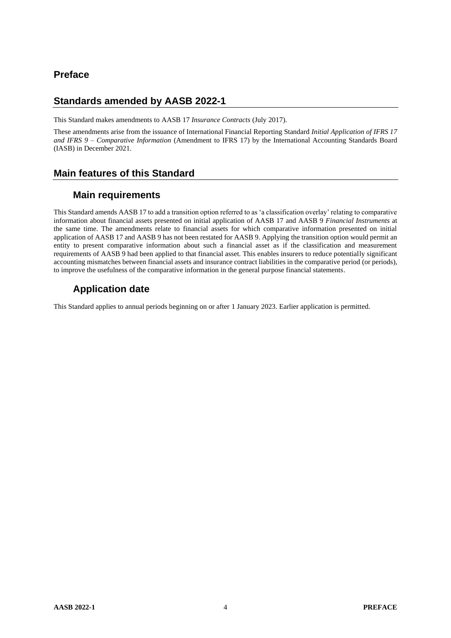## **Preface**

#### **Standards amended by AASB 2022-1**

This Standard makes amendments to AASB 17 *Insurance Contracts* (July 2017).

These amendments arise from the issuance of International Financial Reporting Standard *Initial Application of IFRS 17 and IFRS 9 – Comparative Information* (Amendment to IFRS 17) by the International Accounting Standards Board (IASB) in December 2021.

# **Main features of this Standard**

## **Main requirements**

This Standard amends AASB 17 to add a transition option referred to as 'a classification overlay' relating to comparative information about financial assets presented on initial application of AASB 17 and AASB 9 *Financial Instruments* at the same time. The amendments relate to financial assets for which comparative information presented on initial application of AASB 17 and AASB 9 has not been restated for AASB 9. Applying the transition option would permit an entity to present comparative information about such a financial asset as if the classification and measurement requirements of AASB 9 had been applied to that financial asset. This enables insurers to reduce potentially significant accounting mismatches between financial assets and insurance contract liabilities in the comparative period (or periods), to improve the usefulness of the comparative information in the general purpose financial statements.

# **Application date**

This Standard applies to annual periods beginning on or after 1 January 2023. Earlier application is permitted.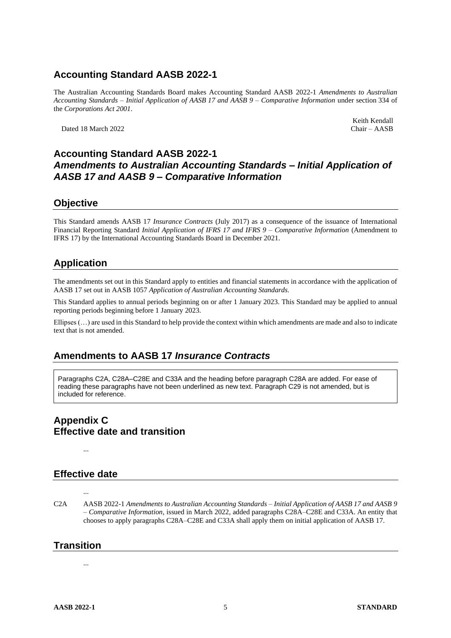# **Accounting Standard AASB 2022-1**

The Australian Accounting Standards Board makes Accounting Standard AASB 2022-1 *Amendments to Australian Accounting Standards – Initial Application of AASB 17 and AASB 9 – Comparative Information* under section 334 of the *Corporations Act 2001*.

Dated 18 March 2022

Keith Kendall<br>Chair - AASB

#### **Accounting Standard AASB 2022-1** *Amendments to Australian Accounting Standards – Initial Application of AASB 17 and AASB 9 – Comparative Information*

#### **Objective**

This Standard amends AASB 17 *Insurance Contracts* (July 2017) as a consequence of the issuance of International Financial Reporting Standard *Initial Application of IFRS 17 and IFRS 9 – Comparative Information* (Amendment to IFRS 17) by the International Accounting Standards Board in December 2021.

#### **Application**

The amendments set out in this Standard apply to entities and financial statements in accordance with the application of AASB 17 set out in AASB 1057 *Application of Australian Accounting Standards.*

This Standard applies to annual periods beginning on or after 1 January 2023. This Standard may be applied to annual reporting periods beginning before 1 January 2023.

Ellipses (…) are used in this Standard to help provide the context within which amendments are made and also to indicate text that is not amended.

#### **Amendments to AASB 17** *Insurance Contracts*

Paragraphs C2A, C28A–C28E and C33A and the heading before paragraph C28A are added. For ease of reading these paragraphs have not been underlined as new text. Paragraph C29 is not amended, but is included for reference.

# **Appendix C Effective date and transition**

**Effective date**

...

...

C2A AASB 2022-1 *Amendments to Australian Accounting Standards – Initial Application of AASB 17 and AASB 9 – Comparative Information*, issued in March 2022, added paragraphs C28A–C28E and C33A. An entity that chooses to apply paragraphs C28A–C28E and C33A shall apply them on initial application of AASB 17.

#### **Transition**

...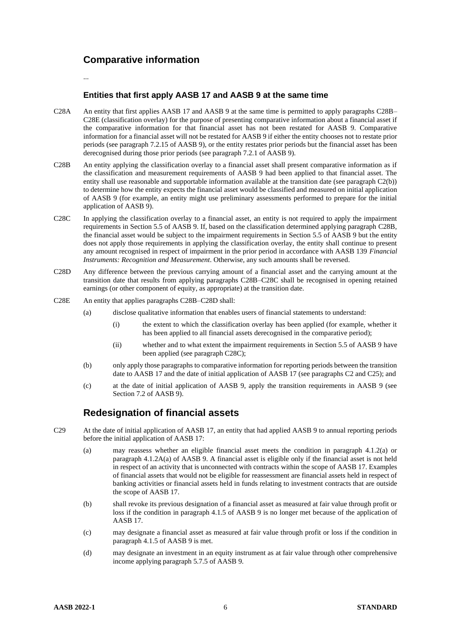## **Comparative information**

...

#### **Entities that first apply AASB 17 and AASB 9 at the same time**

- C28A An entity that first applies AASB 17 and AASB 9 at the same time is permitted to apply paragraphs C28B– C28E (classification overlay) for the purpose of presenting comparative information about a financial asset if the comparative information for that financial asset has not been restated for AASB 9. Comparative information for a financial asset will not be restated for AASB 9 if either the entity chooses not to restate prior periods (see paragraph 7.2.15 of AASB 9), or the entity restates prior periods but the financial asset has been derecognised during those prior periods (see paragraph 7.2.1 of AASB 9).
- C28B An entity applying the classification overlay to a financial asset shall present comparative information as if the classification and measurement requirements of AASB 9 had been applied to that financial asset. The entity shall use reasonable and supportable information available at the transition date (see paragraph C2(b)) to determine how the entity expects the financial asset would be classified and measured on initial application of AASB 9 (for example, an entity might use preliminary assessments performed to prepare for the initial application of AASB 9).
- C28C In applying the classification overlay to a financial asset, an entity is not required to apply the impairment requirements in Section 5.5 of AASB 9. If, based on the classification determined applying paragraph C28B, the financial asset would be subject to the impairment requirements in Section 5.5 of AASB 9 but the entity does not apply those requirements in applying the classification overlay, the entity shall continue to present any amount recognised in respect of impairment in the prior period in accordance with AASB 139 *Financial Instruments: Recognition and Measurement*. Otherwise, any such amounts shall be reversed.
- C28D Any difference between the previous carrying amount of a financial asset and the carrying amount at the transition date that results from applying paragraphs C28B–C28C shall be recognised in opening retained earnings (or other component of equity, as appropriate) at the transition date.
- C28E An entity that applies paragraphs C28B–C28D shall:
	- (a) disclose qualitative information that enables users of financial statements to understand:
		- (i) the extent to which the classification overlay has been applied (for example, whether it has been applied to all financial assets derecognised in the comparative period);
		- (ii) whether and to what extent the impairment requirements in Section 5.5 of AASB 9 have been applied (see paragraph C28C);
	- (b) only apply those paragraphs to comparative information for reporting periods between the transition date to AASB 17 and the date of initial application of AASB 17 (see paragraphs C2 and C25); and
	- (c) at the date of initial application of AASB 9, apply the transition requirements in AASB 9 (see Section 7.2 of AASB 9).

#### **Redesignation of financial assets**

- C29 At the date of initial application of AASB 17, an entity that had applied AASB 9 to annual reporting periods before the initial application of AASB 17:
	- (a) may reassess whether an eligible financial asset meets the condition in paragraph 4.1.2(a) or paragraph 4.1.2A(a) of AASB 9. A financial asset is eligible only if the financial asset is not held in respect of an activity that is unconnected with contracts within the scope of AASB 17. Examples of financial assets that would not be eligible for reassessment are financial assets held in respect of banking activities or financial assets held in funds relating to investment contracts that are outside the scope of AASB 17.
	- (b) shall revoke its previous designation of a financial asset as measured at fair value through profit or loss if the condition in paragraph 4.1.5 of AASB 9 is no longer met because of the application of AASB 17.
	- (c) may designate a financial asset as measured at fair value through profit or loss if the condition in paragraph 4.1.5 of AASB 9 is met.
	- (d) may designate an investment in an equity instrument as at fair value through other comprehensive income applying paragraph 5.7.5 of AASB 9.